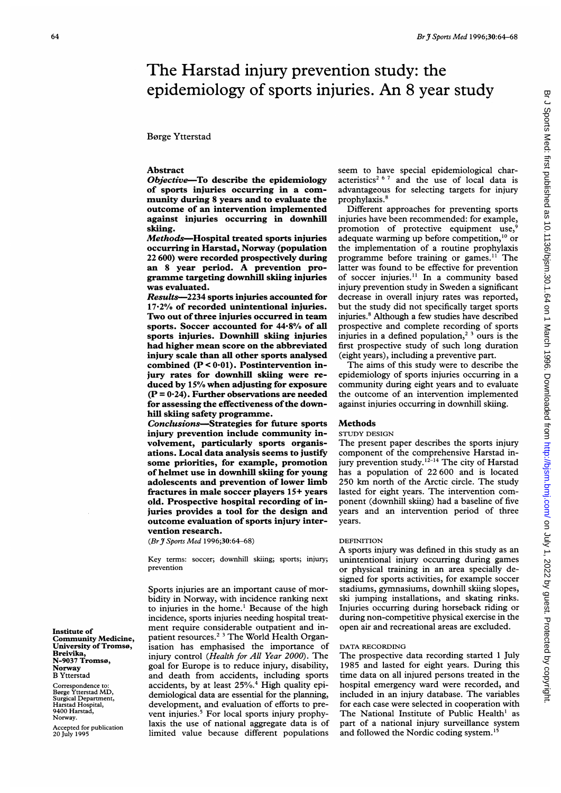# The Harstad injury prevention study: the epidemiology of sports injuries. An 8 year study

# **Børge Ytterstad**

# Abstract

Objective-To describe the epidemiology of sports injuries occurring in a community during 8 years and to evaluate the outcome of an intervention implemented against injuries occurring in downhill skiing.

Methods-Hospital treated sports injuries occurring in Harstad, Norway (population 22 600) were recorded prospectively during an <sup>8</sup> year period. A prevention programme targeting downhill skiing injuries was evaluated.

Results-2234 sports injuries accounted for 17.2% of recorded unintentional injuries. Two out of three injuries occurred in team sports. Soccer accounted for 44.8% of all sports injuries. Downhill skiing injuries had higher mean score on the abbreviated injury scale than all other sports analysed combined (P < 0-01). Postintervention injury rates for downhill skiing were reduced by 15% when adjusting for exposure  $(P = 0.24)$ . Further observations are needed for assessing the effectiveness of the downhill skiing safety programme.

Conclusions-Strategies for future sports injury prevention include community involvement, particularly sports organisations. Local data analysis seems to justify some priorities, for example, promotion of helmet use in downhill skiing for young adolescents and prevention of lower limb fractures in male soccer players 15+ years old. Prospective hospital recording of injuries provides a tool for the design and outcome evaluation of sports injury intervention research.

(BrJ Sports Med 1996;30:64-68)

Key terms: soccer; downhill skiing; sports; injury; prevention

Sports injuries are an important cause of morbidity in Norway, with incidence ranking next to injuries in the home.' Because of the high incidence, sports injuries needing hospital treatment require considerable outpatient and inpatient resources.2 <sup>3</sup> The World Health Organisation has emphasised the importance of injury control (Health for All Year 2000). The goal for Europe is to reduce injury, disability, and death from accidents, including sports accidents, by at least 25%.<sup>4</sup> High quality epidemiological data are essential for the planning, development, and evaluation of efforts to prevent injuries.<sup>5</sup> For local sports injury prophylaxis the use of national aggregate data is of limited value because different populations

seem to have special epidemiological characteristics<sup>2 6 7</sup> and the use of local data is advantageous for selecting targets for injury prophylaxis.<sup>8</sup>

Different approaches for preventing sports injuries have been recommended: for example, promotion of protective equipment use, adequate warming up before competition,<sup>10</sup> or the implementation of a routine prophylaxis programme before training or games.<sup>11</sup> The latter was found to be effective for prevention of soccer injuries." In a community based injury prevention study in Sweden a significant decrease in overall injury rates was reported, but the study did not specifically target sports injuries.' Although <sup>a</sup> few studies have described prospective and complete recording of sports injuries in a defined population,<sup>23</sup> ours is the first prospective study of such long duration (eight years), including a preventive part.

The aims of this study were to describe the epidemiology of sports injuries occurring in a community during eight years and to evaluate the outcome of an intervention implemented against injuries occurring in downhill skiing.

# Methods

## STUDY DESIGN

The present paper describes the sports injury component of the comprehensive Harstad injury prevention study.<sup>12-14</sup> The city of Harstad has a population of 22600 and is located 250 km north of the Arctic circle. The study lasted for eight years. The intervention component (downhill skiing) had a baseline of five years and an intervention period of three years.

#### DEFINITION

A sports injury was defined in this study as an unintentional injury occurring during games or physical training in an area specially designed for sports activities, for example soccer stadiums, gymnasiums, downhill skiing slopes, ski jumping installations, and skating rinks. Injuries occurring during horseback riding or during non-competitive physical exercise in the open air and recreational areas are excluded.

## DATA RECORDING

The prospective data recording started <sup>1</sup> July 1985 and lasted for eight years. During this time data on all injured persons treated in the hospital emergency ward were recorded, and included in an injury database. The variables for each case were selected in cooperation with The National Institute of Public Health' as part of a national injury surveillance system and followed the Nordic coding system.'5

Institute of Community Medicine, University of Troms0, Breivika, N-9037 Troms0, Norway B Ytterstad

Correspondence to: Borge Ytterstad MD, Surgical Department, Harstad Hospital, 9400 Harstad, Norway.

Accepted for publication 20 July 1995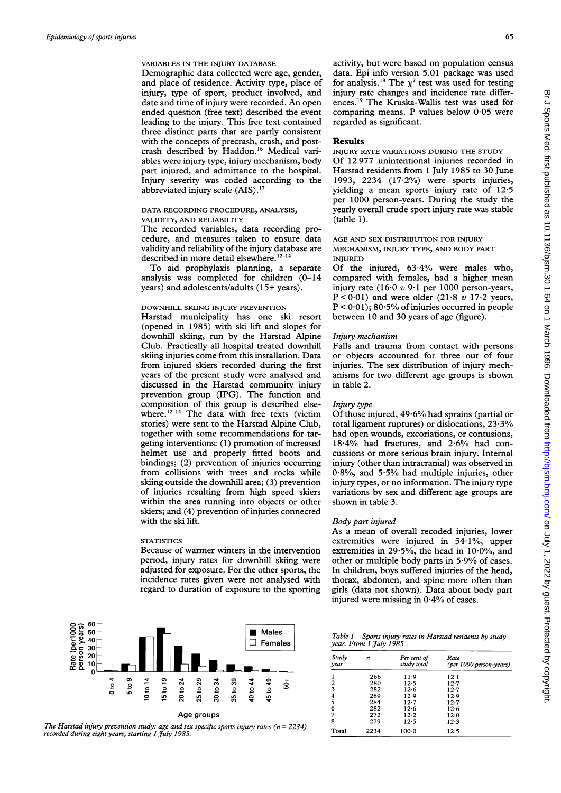# VARIABLES IN THE INJURY DATABASE

Demographic data collected were age, gender, and place of residence. Activity type, place of injury, type of sport, product involved, and date and time of injury were recorded. An open ended question (free text) described the event leading to the injury. This free text contained three distinct parts that are partly consistent with the concepts of precrash, crash, and postcrash described by Haddon.<sup>16</sup> Medical variables were injury type, injury mechanism, body part injured, and admittance to the hospital. Injury severity was coded according to the abbreviated injury scale (AIS).<sup>17</sup>

# DATA RECORDING PROCEDURE, ANALYSIS, VALIDITY, AND RELIABILITY

The recorded variables, data recording procedure, and measures taken to ensure data validity and reliability of the injury database are described in more detail elsewhere.<sup>12-14</sup>

To aid prophylaxis planning, <sup>a</sup> separate analysis was completed for children (0-14 years) and adolescents/adults (15+ years).

## DOWNHILL SKIING INJURY PREVENTION

Harstad municipality has one ski resort (opened in 1985) with ski lift and slopes for downhill skiing, run by the Harstad Alpine Club. Practically all hospital treated downhill skiing injuries come from this installation. Data from injured skiers recorded during the first years of the present study were analysed and discussed in the Harstad community injury prevention group (IPG). The function and composition of this group is described elsewhere.<sup>12-14</sup> The data with free texts (victim stories) were sent to the Harstad Alpine Club, together with some recommendations for targeting interventions: (1) promotion of increased helmet use and properly fitted boots and bindings; (2) prevention of injuries occurring from collisions with trees and rocks while skiing outside the downhill area; (3) prevention of injuries resulting from high speed skiers within the area running into objects or other skiers; and (4) prevention of injuries connected with the ski lift.

#### **STATISTICS**

Because of warmer winters in the intervention period, injury rates for downhill skiing were adjusted for exposure. For the other sports, the incidence rates given were not analysed with regard to duration of exposure to the sporting



The Harstad injury prevention study: age and sex specific sports injury rates ( $n = 2234$ ) recorded during eight years, starting 1 July 1985.

activity, but were based on population census data. Epi info version 5.01 package was used for analysis.<sup>18</sup> The  $\chi^2$  test was used for testing injury rate changes and incidence rate differences."9 The Kruska-Wallis test was used for comparing means. P values below 0-05 were regarded as significant.

## Results

INJURY RATE VARIATIONS DURING THE STUDY Of 12 977 unintentional injuries recorded in Harstad residents from <sup>1</sup> July 1985 to 30 June 1993, 2234 (17.2%) were sports injuries, yielding a mean sports injury rate of 12-5 per 1000 person-years. During the study the yearly overall crude sport injury rate was stable (table 1).

# AGE AND SEX DISTRIBUTION FOR INJURY MECHANISM, INJURY TYPE, AND BODY PART INJURED

Of the injured,  $63.4\%$  were males who, compared with females, had a higher mean injury rate (16.0  $v$  9.1 per 1000 person-years,  $P < 0.01$ ) and were older (21.8 v 17.2 years,  $P < 0.01$ ); 80.5% of injuries occurred in people between 10 and 30 years of age (figure).

# Injury mechanism

Falls and trauma from contact with persons or objects accounted for three out of four injuries. The sex distribution of injury mechanisms for two different age groups is shown in table 2.

## Injury type

Of those injured, 49-6% had sprains (partial or total ligament ruptures) or dislocations, 23-3% had open wounds, excoriations, or contusions, <sup>18</sup> 4% had fractures, and 2-6% had concussions or more serious brain injury. Internal injury (other than intracranial) was observed in  $0.8\%$ , and  $5.5\%$  had multiple injuries, other injury types, or no information. The injury type variations by sex and different age groups are shown in table 3.

#### Body part injured

As a mean of overall recoded injuries, lower extremities were injured in  $54.1\%$ , upper extremities in 29-5%, the head in 10-0%, and other or multiple body parts in 5.9% of cases. In children, boys suffered injuries of the head, thorax, abdomen, and spine more often than girls (data not shown). Data about body part injured were missing in 0-4% of cases.

#### Table I Sports injury rates in Harstad residents by study year. From 1 July 1985

| Study<br>year           | n    | Per cent of<br>study total | Rate<br>(per 1000 person-years) |
|-------------------------|------|----------------------------|---------------------------------|
| 1                       | 266  | $11-9$                     | $12 \cdot 1$                    |
| $\overline{2}$          | 280  | $12 - 5$                   | $12 - 7$                        |
| 3                       | 282  | 12.6                       | 12.7                            |
| $\overline{\mathbf{4}}$ | 289  | $12-9$                     | 12.9                            |
| 5                       | 284  | $12 - 7$                   | $12 - 7$                        |
| 6                       | 282  | $12-6$                     | 12.6                            |
| 7                       | 272  | $12-2$                     | 12.0                            |
| 8                       | 279  | $12-5$                     | 12.3                            |
| Total                   | 2234 | $100-0$                    | $12 - 5$                        |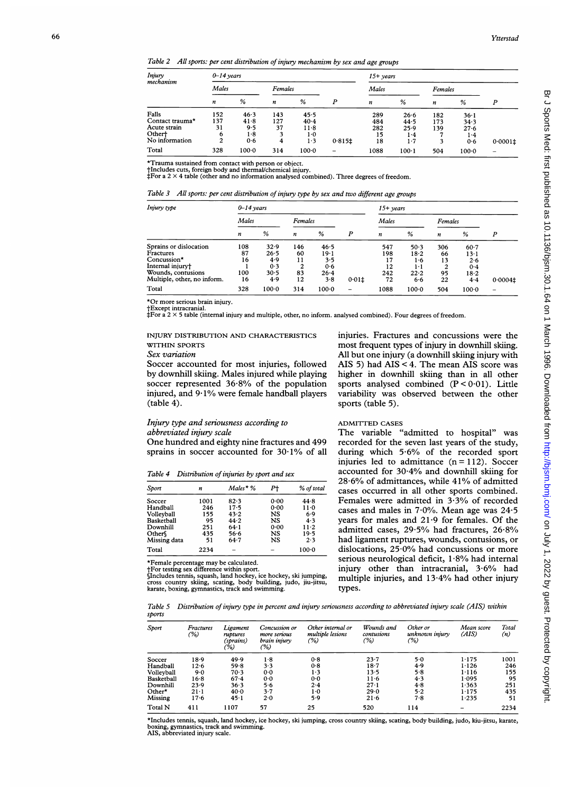Table 2 All sports: per cent distribution of injury mechanism by sex and age groups

| Injury<br>$0 - 14$ years<br>mechanism<br>Males<br>Females<br>%<br>%<br>P<br>n<br>n<br>$\boldsymbol{n}$<br>Falls<br>152<br>46.3<br>143<br>45.5<br>Contact trauma*<br>137<br>127<br>41.8<br>$40 - 4$<br>31<br>Acute strain<br>9.5<br>37<br>$11-8$ | $15+ years$ |            |     |            |                          |                   |                      |                   |                      |             |
|-------------------------------------------------------------------------------------------------------------------------------------------------------------------------------------------------------------------------------------------------|-------------|------------|-----|------------|--------------------------|-------------------|----------------------|-------------------|----------------------|-------------|
|                                                                                                                                                                                                                                                 |             |            |     |            |                          | Males             |                      | Females           |                      |             |
|                                                                                                                                                                                                                                                 |             |            |     |            |                          |                   | %                    | n                 | %                    | P           |
|                                                                                                                                                                                                                                                 |             |            |     |            |                          | 289<br>484<br>282 | 26.6<br>44.5<br>25.9 | 182<br>173<br>139 | 36.1<br>34.3<br>27.6 |             |
| Othert<br>No information                                                                                                                                                                                                                        | 6<br>2      | 1.8<br>0.6 | 4   | 1·0<br>1.3 | $0.815$ <sup>±</sup>     | 15<br>18          | 1.4<br>1.7           | 3                 | $1-4$<br>0.6         | $0.0001\pm$ |
| Total                                                                                                                                                                                                                                           | 328         | $100 - 0$  | 314 | $100 - 0$  | $\overline{\phantom{0}}$ | 1088              | $100-1$              | 504               | $100 - 0$            |             |

\*Trauma sustained from contact with person or object. fIncludes cuts, foreign body and thermal/chemical injury. tFor a 2 x 4 table (other and no information analysed combined). Three degrees of freedom.

|  |  |  |  | Table 3 All sports: per cent distribution of injury type by sex and two different age groups |  |
|--|--|--|--|----------------------------------------------------------------------------------------------|--|
|--|--|--|--|----------------------------------------------------------------------------------------------|--|

| Injury type                 | $0 - 14$ years |           |                  |           |       | $15+$ vears |           |         |           |                          |
|-----------------------------|----------------|-----------|------------------|-----------|-------|-------------|-----------|---------|-----------|--------------------------|
|                             | Males          |           | Females          |           |       | Males       |           | Females |           |                          |
|                             | n              | %         | $\boldsymbol{n}$ | %         | P     | n           | %         | n       | %         | P                        |
| Sprains or dislocation      | 108            | 32.9      | 146              | 46.5      |       | 547         | 50.3      | 306     | $60-7$    |                          |
| Fractures                   | 87             | 26.5      | 60               | $19-1$    |       | 198         | 18.2      | 66      | $13-1$    |                          |
| Concussion*                 | 16             | 4.9       | 11               | 3.5       |       |             | 1.6       | 13      | 2.6       |                          |
| Internal injury†            |                | 0.3       | ↑                | 0.6       |       | 12          | 1 - 1     | 2       | 0.4       |                          |
| Wounds, contusions          | 100            | 30.5      | 83               | $26 - 4$  |       | 242         | 22.2      | 95      | $18-2$    |                          |
| Multiple, other, no inform. | 16             | 4.9       | 12               | 3.8       | 0.011 | 72          | 6.6       | 22      | 4.4       | $0.0004$ ±               |
| Total                       | 328            | $100 - 0$ | 314              | $100 - 0$ | -     | 1088        | $100 - 0$ | 504     | $100 - 0$ | $\overline{\phantom{a}}$ |

\*Or more serious brain injury.

tExcept intracranial. \*For a 2 x 5 table (internal injury and multiple, other, no inform. analysed combined). Four degrees of freedom.

INJURY DISTRIBUTION AND CHARACTERISTICS WITHIN SPORTS

# Sex variation

Soccer accounted for most injuries, followed by downhill skiing. Males injured while playing soccer represented  $36.8%$  of the population injured, and <sup>9</sup> 1% were female handball players (table 4).

# Injury type and seriousness according to abbreviated injury scale

One hundred and eighty nine fractures and 499 sprains in soccer accounted for  $30.1\%$  of all

Table 4 Distribution of injuries by sport and sex

| Sport        | n    | $Males * %$ | P+   | % of total |
|--------------|------|-------------|------|------------|
|              |      |             |      |            |
| Soccer       | 1001 | 82.3        | 0.00 | 44.8       |
| Handball     | 246  | 17.5        | 0.00 | 11.0       |
| Volleyball   | 155  | 43.2        | NS   | 6.9        |
| Basketball   | 95   | 44.2        | NS   | 4.3        |
| Downhill     | 251  | 64.1        | 0.00 | $11-2$     |
| Other        | 435  | 56.6        | NS   | 19.5       |
| Missing data | 51   | $64 - 7$    | NS   | 2.3        |
| Total        | 2234 |             |      | $100-0$    |

\*Female percentage may be calculated.

† For testing sex difference within sport.<br>§Includes tennis, squash, land hockey, ice hockey, ski jumping,<br>cross country skiing, scating, body building, judo, jiu-jitsu,<br>karate, boxing, gymnastics, track and swimming.

injuries. Fractures and concussions were the most frequent types of injury in downhill skiing. All but one injury (a downhill skiing injury with AIS 5) had AIS < 4. The mean AIS score was higher in downhill skiing than in all other sports analysed combined  $(P < 0.01)$ . Little variability was observed between the other sports (table 5).

#### ADMITTED CASES

The variable "admitted to hospital" was recorded for the seven last years of the study, during which 5-6% of the recorded sport injuries led to admittance  $(n=112)$ . Soccer accounted for 30 4% and downhill skiing for 28-6% of admittances, while 41% of admitted cases occurred in all other sports combined. Females were admitted in 3.3% of recorded cases and males in  $7.0\%$ . Mean age was  $24.5$ years for males and  $21.9$  for females. Of the admitted cases, 29-5% had fractures, 26-8% had ligament ruptures, wounds, contusions, or dislocations, 25-0% had concussions or more serious neurological deficit,  $1.8\%$  had internal injury other than intracranial, 3-6% had multiple injuries, and 13-4% had other injury types.

Table 5 Distribution of injury type in percent and injury seriousness according to abbreviated injury scale (AIS) within sports

| Sport      | Fractures<br>(%) | Ligament<br>ruptures<br>(sprains)<br>(%) | Concussion or<br>more serious<br>brain injury<br>(%) | Other internal or<br>multiple lesions<br>(%) | Wounds and<br>contusions<br>(%) | Other or<br>unknown injury<br>(%) | Mean score<br>(AIS) | Total<br>(n) |
|------------|------------------|------------------------------------------|------------------------------------------------------|----------------------------------------------|---------------------------------|-----------------------------------|---------------------|--------------|
|            |                  |                                          |                                                      |                                              |                                 |                                   |                     |              |
| Soccer     | 18.9             | 49.9                                     | 1.8                                                  | 0.8                                          | 23.7                            | 5.0                               | 1.175               | 1001         |
| Handball   | 12.6             | 59.8                                     | $3 - 3$                                              | 0.8                                          | 18.7                            | 4.9                               | 1.126               | 246          |
| Volleyball | 9.0              | 70.3                                     | 0.0                                                  | 1.3                                          | 13.5                            | 5.8                               | 1.116               | 155          |
| Basketball | $16-8$           | 67.4                                     | 0.0                                                  | 0.0                                          | 11.6                            | 4.3                               | 1.095               | 95           |
| Downhill   | 23.9             | 36.3                                     | 5.6                                                  | 2.4                                          | $27-1$                          | 4.8                               | 1.363               | 251          |
| Other*     | $21 - 1$         | 40.0                                     | 3.7                                                  | 1·0                                          | 29.0                            | 5.2                               | 1.175               | 435          |
| Missing    | 17.6             | 45.1                                     | 2.0                                                  | 5.9                                          | $21 - 6$                        | 7.8                               | 1.235               | 51           |
| Total N    | 411              | 1107                                     | 57                                                   | 25                                           | 520                             | 114                               |                     | 2234         |

\*Includes tennis, squash, land hockey, ice hockey, ski jumping, cross country skiing, scating, body building, judo, kiu-jitsu, karate, boxing, gymnastics, track and swimming. AIS, abbreviated injury scale.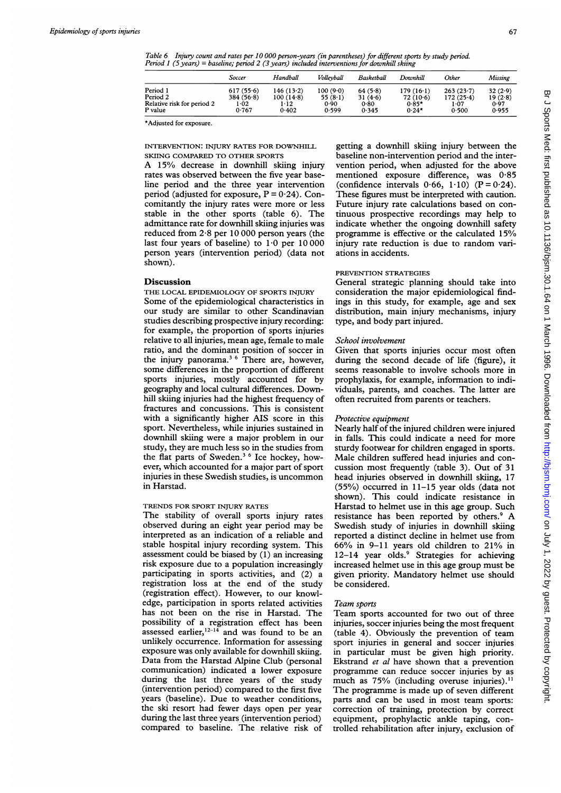Table 6 Injury count and rates per 10 000 person-years (in parentheses) for different sports by study period. Period <sup>1</sup> (5 years) = baseline; period 2 (3 years) included interventions for downhill skiing

|                            | Soccer    | Handball  | Volleyball | Basketball | Downhill    | Other     | <b>Missing</b> |
|----------------------------|-----------|-----------|------------|------------|-------------|-----------|----------------|
| Period 1                   | 617(55.6) | 146(13.2) | 100 (9.0)  | 64(5.8)    | $179(16-1)$ | 263(237)  | 32(2.9)        |
| Period 2                   | 384(56.8) | 100(14.8) | 55 $(8.1)$ | 31(4.6)    | 72(10.6)    | 172(25.4) | 19(2.8)        |
| Relative risk for period 2 | 1.02      | 1.12      | 0.90       | 0.80       | $0.85*$     | 1.07      | 0.97           |
| P value                    | 0.767     | 0.402     | 0.599      | 0.345      | $0.24*$     | 0.500     | 0.955          |

\*Adjusted for exposure.

INTERVENTION: INJURY RATES FOR DOWNHILL SKIING COMPARED TO OTHER SPORTS

A 15% decrease in downhill skiing injury rates was observed between the five year baseline period and the three year intervention period (adjusted for exposure,  $P = 0.24$ ). Concomitantly the injury rates were more or less stable in the other sports (table 6). The admittance rate for downhill skiing injuries was reduced from 2-8 per 10 000 person years (the last four years of baseline) to  $1.0$  per  $10\,000$ person years (intervention period) (data not shown).

# Discussion

THE LOCAL EPIDEMIOLOGY OF SPORTS INJURY Some of the epidemiological characteristics in our study are similar to other Scandinavian studies describing prospective injury recording: for example, the proportion of sports injuries relative to all injuries, mean age, female to male ratio, and the dominant position of soccer in the injury panorama.<sup>36</sup> There are, however, some differences in the proportion of different sports injuries, mostly accounted for by geography and local cultural differences. Downhill skiing injuries had the highest frequency of fractures and concussions. This is consistent with a significantly higher AIS score in this sport. Nevertheless, while injuries sustained in downhill skiing were a major problem in our study, they are much less so in the studies from the flat parts of Sweden.<sup>3 6</sup> Ice hockey, however, which accounted for a major part of sport injuries in these Swedish studies, is uncommon in Harstad.

## TRENDS FOR SPORT INJURY RATES

The stability of overall sports injury rates observed during an eight year period may be interpreted as an indication of a reliable and stable hospital injury recording system. This assessment could be biased by (1) an increasing risk exposure due to a population increasingly participating in sports activities, and (2) a registration loss at the end of the study (registration effect). However, to our knowledge, participation in sports related activities has not been on the rise in Harstad. The possibility of a registration effect has been assessed earlier,  $12-14$  and was found to be an unlikely occurrence. Information for assessing exposure was only available for downhill skiing. Data from the Harstad Alpine Club (personal communication) indicated a lower exposure during the last three years of the study (intervention period) compared to the first five years (baseline). Due to weather conditions, the ski resort had fewer days open per year during the last three years (intervention period) compared to baseline. The relative risk of

getting a downhill skiing injury between the baseline non-intervention period and the intervention period, when adjusted for the above mentioned exposure difference, was 0-85 (confidence intervals  $0.66$ ,  $1.10$ ) (P = 0.24). These figures must be interpreted with caution. Future injury rate calculations based on continuous prospective recordings may help to indicate whether the ongoing downhill safety programme is effective or the calculated 15% injury rate reduction is due to random variations in accidents.

# PREVENTION STRATEGIES

General strategic planning should take into consideration the major epidemiological findings in this study, for example, age and sex distribution, main injury mechanisms, injury type, and body part injured.

#### School involvement

Given that sports injuries occur most often during the second decade of life (figure), it seems reasonable to involve schools more in prophylaxis, for example, information to individuals, parents, and coaches. The latter are often recruited from parents or teachers.

# Protective equipment

Nearly half of the injured children were injured in falls. This could indicate a need for more sturdy footwear for children engaged in sports. Male children suffered head injuries and concussion most frequently (table 3). Out of 31 head injuries observed in downhill skiing, 17 (55%) occurred in 11-15 year olds (data not shown). This could indicate resistance in Harstad to helmet use in this age group. Such resistance has been reported by others.<sup>9</sup> A Swedish study of injuries in downhill skiing reported a distinct decline in helmet use from 66% in 9-11 years old children to 21% in 12-14 year olds.<sup>9</sup> Strategies for achieving increased helmet use in this age group must be given priority. Mandatory helmet use should be considered.

#### Team sports

Team sports accounted for two out of three injuries, soccer injuries being the most frequent (table 4). Obviously the prevention of team sport injuries in general and soccer injuries in particular must be given high priority. Ekstrand et al have shown that a prevention programme can reduce soccer injuries by as much as  $75%$  (including overuse injuries).<sup>11</sup> The programme is made up of seven different parts and can be used in most team sports: correction of training, protection by correct equipment, prophylactic ankle taping, controlled rehabilitation after injury, exclusion of